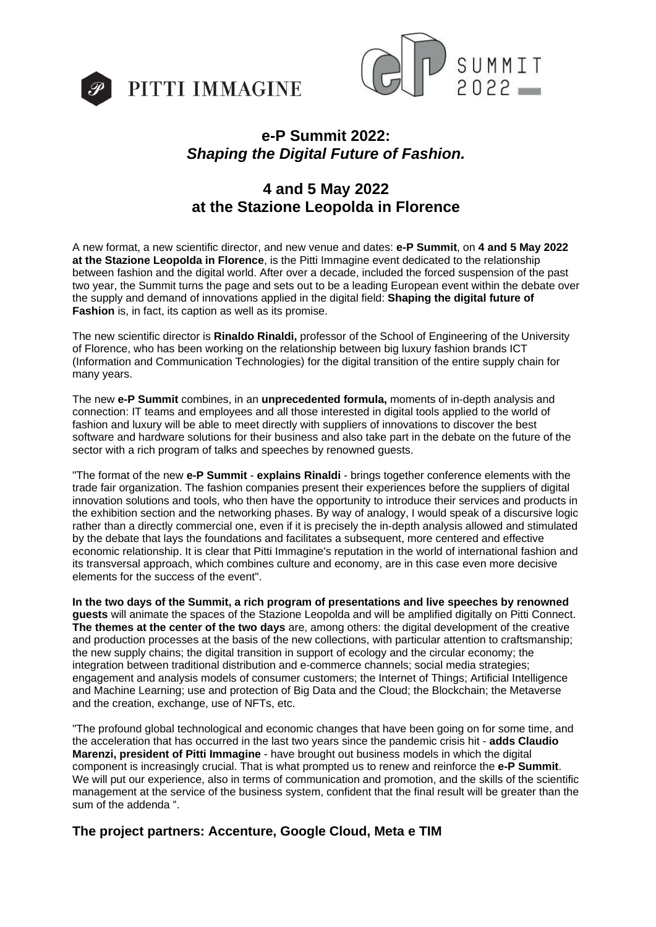



# **e-P Summit 2022:** *Shaping the Digital Future of Fashion.*

# **4 and 5 May 2022 at the Stazione Leopolda in Florence**

A new format, a new scientific director, and new venue and dates: **e-P Summit**, on **4 and 5 May 2022 at the Stazione Leopolda in Florence**, is the Pitti Immagine event dedicated to the relationship between fashion and the digital world. After over a decade, included the forced suspension of the past two year, the Summit turns the page and sets out to be a leading European event within the debate over the supply and demand of innovations applied in the digital field: **Shaping the digital future of Fashion** is, in fact, its caption as well as its promise.

The new scientific director is **Rinaldo Rinaldi,** professor of the School of Engineering of the University of Florence, who has been working on the relationship between big luxury fashion brands ICT (Information and Communication Technologies) for the digital transition of the entire supply chain for many years.

The new **e-P Summit** combines, in an **unprecedented formula,** moments of in-depth analysis and connection: IT teams and employees and all those interested in digital tools applied to the world of fashion and luxury will be able to meet directly with suppliers of innovations to discover the best software and hardware solutions for their business and also take part in the debate on the future of the sector with a rich program of talks and speeches by renowned guests.

"The format of the new **e-P Summit** - **explains Rinaldi** - brings together conference elements with the trade fair organization. The fashion companies present their experiences before the suppliers of digital innovation solutions and tools, who then have the opportunity to introduce their services and products in the exhibition section and the networking phases. By way of analogy, I would speak of a discursive logic rather than a directly commercial one, even if it is precisely the in-depth analysis allowed and stimulated by the debate that lays the foundations and facilitates a subsequent, more centered and effective economic relationship. It is clear that Pitti Immagine's reputation in the world of international fashion and its transversal approach, which combines culture and economy, are in this case even more decisive elements for the success of the event".

**In the two days of the Summit, a rich program of presentations and live speeches by renowned guests** will animate the spaces of the Stazione Leopolda and will be amplified digitally on Pitti Connect. **The themes at the center of the two days** are, among others: the digital development of the creative and production processes at the basis of the new collections, with particular attention to craftsmanship; the new supply chains; the digital transition in support of ecology and the circular economy; the integration between traditional distribution and e-commerce channels; social media strategies; engagement and analysis models of consumer customers; the Internet of Things; Artificial Intelligence and Machine Learning; use and protection of Big Data and the Cloud; the Blockchain; the Metaverse and the creation, exchange, use of NFTs, etc.

"The profound global technological and economic changes that have been going on for some time, and the acceleration that has occurred in the last two years since the pandemic crisis hit - **adds Claudio Marenzi, president of Pitti Immagine** - have brought out business models in which the digital component is increasingly crucial. That is what prompted us to renew and reinforce the **e-P Summit**. We will put our experience, also in terms of communication and promotion, and the skills of the scientific management at the service of the business system, confident that the final result will be greater than the sum of the addenda ".

# **The project partners: Accenture, Google Cloud, Meta e TIM**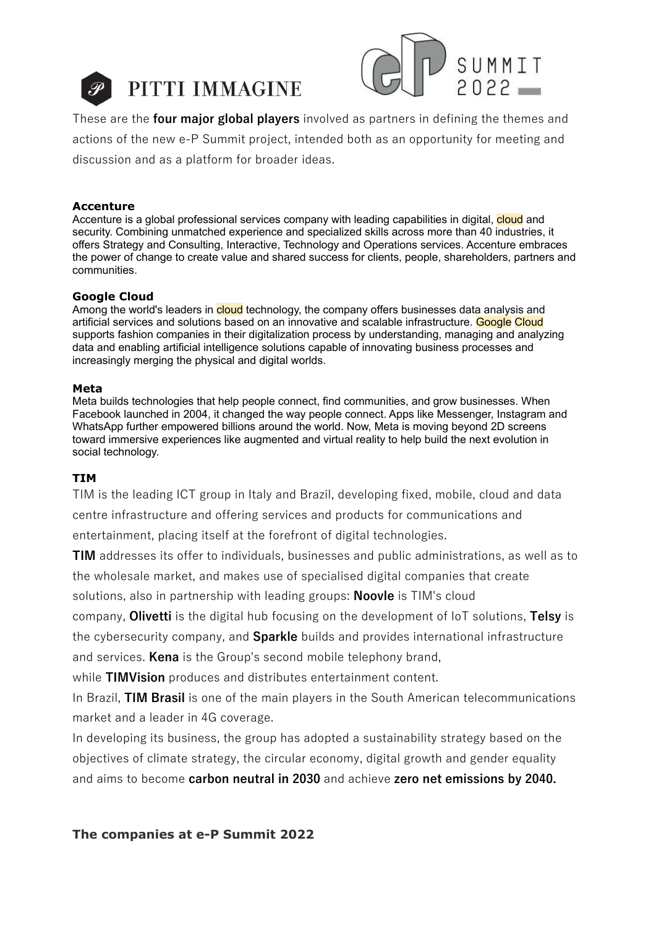



These are the **four major global players** involved as partners in defining the themes and actions of the new e-P Summit project, intended both as an opportunity for meeting and discussion and as a platform for broader ideas.

## **Accenture**

Accenture is a global professional services company with leading capabilities in digital, cloud and security. Combining unmatched experience and specialized skills across more than 40 industries, it offers Strategy and Consulting, Interactive, Technology and Operations services. Accenture embraces the power of change to create value and shared success for clients, people, shareholders, partners and communities.

## **Google Cloud**

Among the world's leaders in cloud technology, the company offers businesses data analysis and artificial services and solutions based on an innovative and scalable infrastructure. Google Cloud supports fashion companies in their digitalization process by understanding, managing and analyzing data and enabling artificial intelligence solutions capable of innovating business processes and increasingly merging the physical and digital worlds.

## **Meta**

Meta builds technologies that help people connect, find communities, and grow businesses. When Facebook launched in 2004, it changed the way people connect. Apps like Messenger, Instagram and WhatsApp further empowered billions around the world. Now, Meta is moving beyond 2D screens toward immersive experiences like augmented and virtual reality to help build the next evolution in social technology.

# **TIM**

TIM is the leading ICT group in Italy and Brazil, developing fixed, mobile, cloud and data centre infrastructure and offering services and products for communications and entertainment, placing itself at the forefront of digital technologies.

**TIM** addresses its offer to individuals, businesses and public administrations, as well as to the wholesale market, and makes use of specialised digital companies that create solutions, also in partnership with leading groups: **Noovle** is TIM's cloud company, **Olivetti** is the digital hub focusing on the development of IoT solutions, **Telsy** is

the cybersecurity company, and **Sparkle** builds and provides international infrastructure and services. **Kena** is the Group's second mobile telephony brand,

while **TIMVision** produces and distributes entertainment content.

In Brazil, **TIM Brasil** is one of the main players in the South American telecommunications market and a leader in 4G coverage.

In developing its business, the group has adopted a sustainability strategy based on the objectives of climate strategy, the circular economy, digital growth and gender equality and aims to become **carbon neutral in 2030** and achieve **zero net emissions by 2040.**

# **The companies at e-P Summit 2022**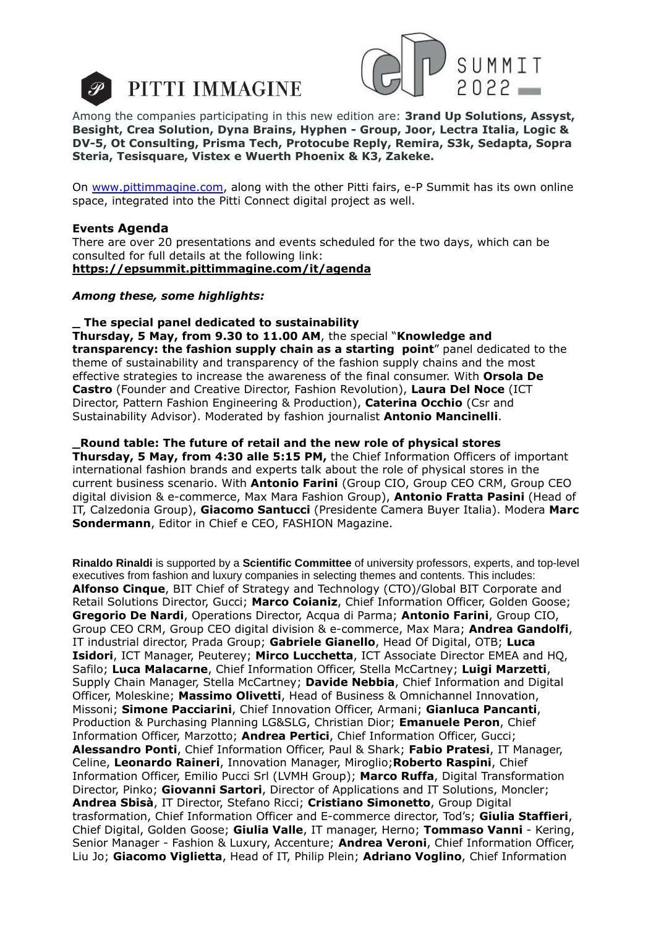



Among the companies participating in this new edition are: **3rand Up Solutions, Assyst, Besight, Crea Solution, Dyna Brains, Hyphen - Group, Joor, Lectra Italia, Logic & DV-5, Ot Consulting, Prisma Tech, Protocube Reply, Remira, S3k, Sedapta, Sopra Steria, Tesisquare, Vistex e Wuerth Phoenix & K3, Zakeke.**

On [www.pittimmagine.com,](http://www.pittimmagine.com/) along with the other Pitti fairs, e-P Summit has its own online space, integrated into the Pitti Connect digital project as well.

#### **Events Agenda**

There are over 20 presentations and events scheduled for the two days, which can be consulted for full details at the following link: **https://epsummit.pittimmagine.com/it/agenda**

## *Among these, some highlights:*

#### **\_ The special panel dedicated to sustainability**

**Thursday, 5 May, from 9.30 to 11.00 AM**, the special "**Knowledge and transparency: the fashion supply chain as a starting point**" panel dedicated to the theme of sustainability and transparency of the fashion supply chains and the most effective strategies to increase the awareness of the final consumer. With **Orsola De Castro** (Founder and Creative Director, Fashion Revolution), **Laura Del Noce** (ICT Director, Pattern Fashion Engineering & Production), **Caterina Occhio** (Csr and Sustainability Advisor). Moderated by fashion journalist **Antonio Mancinelli**.

## **\_Round table: The future of retail and the new role of physical stores**

**Thursday, 5 May, from 4:30 alle 5:15 PM,** the Chief Information Officers of important international fashion brands and experts talk about the role of physical stores in the current business scenario. With **Antonio Farini** (Group CIO, Group CEO CRM, Group CEO digital division & e-commerce, Max Mara Fashion Group), **Antonio Fratta Pasini** (Head of IT, Calzedonia Group), **Giacomo Santucci** (Presidente Camera Buyer Italia). Modera **Marc Sondermann**, Editor in Chief e CEO, FASHION Magazine.

**Rinaldo Rinaldi** is supported by a **Scientific Committee** of university professors, experts, and top-level executives from fashion and luxury companies in selecting themes and contents. This includes: **Alfonso Cinque**, BIT Chief of Strategy and Technology (CTO)/Global BIT Corporate and Retail Solutions Director, Gucci; **Marco Coianiz**, Chief Information Officer, Golden Goose; **Gregorio De Nardi**, Operations Director, Acqua di Parma; **Antonio Farini**, Group CIO, Group CEO CRM, Group CEO digital division & e-commerce, Max Mara; **Andrea Gandolfi**, IT industrial director, Prada Group; **Gabriele Gianello**, Head Of Digital, OTB; **Luca Isidori**, ICT Manager, Peuterey; **Mirco Lucchetta**, ICT Associate Director EMEA and HQ, Safilo; **Luca Malacarne**, Chief Information Officer, Stella McCartney; **Luigi Marzetti**, Supply Chain Manager, Stella McCartney; **Davide Nebbia**, Chief Information and Digital Officer, Moleskine; **Massimo Olivetti**, Head of Business & Omnichannel Innovation, Missoni; **Simone Pacciarini**, Chief Innovation Officer, Armani; **Gianluca Pancanti**, Production & Purchasing Planning LG&SLG, Christian Dior; **Emanuele Peron**, Chief Information Officer, Marzotto; **Andrea Pertici**, Chief Information Officer, Gucci; **Alessandro Ponti**, Chief Information Officer, Paul & Shark; **Fabio Pratesi**, IT Manager, Celine, **Leonardo Raineri**, Innovation Manager, Miroglio;**Roberto Raspini**, Chief Information Officer, Emilio Pucci Srl (LVMH Group); **Marco Ruffa**, Digital Transformation Director, Pinko; **Giovanni Sartori**, Director of Applications and IT Solutions, Moncler; **Andrea Sbisà**, IT Director, Stefano Ricci; **Cristiano Simonetto**, Group Digital trasformation, Chief Information Officer and E-commerce director, Tod's; **Giulia Staffieri**, Chief Digital, Golden Goose; **Giulia Valle**, IT manager, Herno; **Tommaso Vanni** - Kering, Senior Manager - Fashion & Luxury, Accenture; **Andrea Veroni**, Chief Information Officer, Liu Jo; **Giacomo Viglietta**, Head of IT, Philip Plein; **Adriano Voglino**, Chief Information